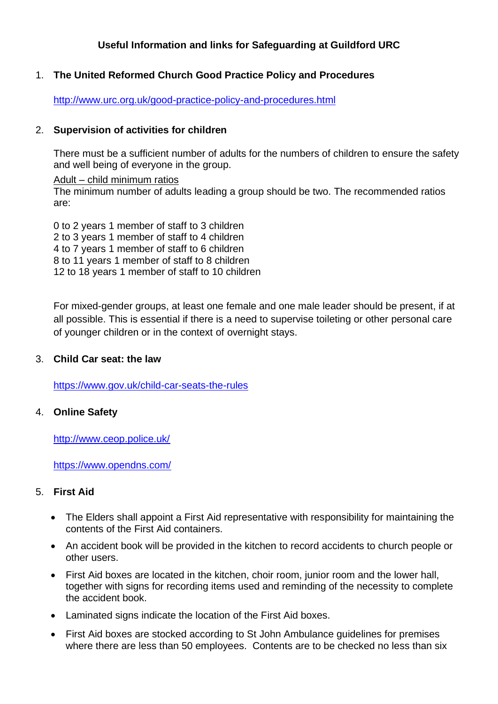# **Useful Information and links for Safeguarding at Guildford URC**

## 1. **The United Reformed Church Good Practice Policy and Procedures**

<http://www.urc.org.uk/good-practice-policy-and-procedures.html>

## 2. **Supervision of activities for children**

There must be a sufficient number of adults for the numbers of children to ensure the safety and well being of everyone in the group.

Adult – child minimum ratios The minimum number of adults leading a group should be two. The recommended ratios are:

0 to 2 years 1 member of staff to 3 children 2 to 3 years 1 member of staff to 4 children 4 to 7 years 1 member of staff to 6 children 8 to 11 years 1 member of staff to 8 children 12 to 18 years 1 member of staff to 10 children

For mixed-gender groups, at least one female and one male leader should be present, if at all possible. This is essential if there is a need to supervise toileting or other personal care of younger children or in the context of overnight stays.

### 3. **Child Car seat: the law**

<https://www.gov.uk/child-car-seats-the-rules>

### 4. **Online Safety**

<http://www.ceop.police.uk/>

<https://www.opendns.com/>

## 5. **First Aid**

- The Elders shall appoint a First Aid representative with responsibility for maintaining the contents of the First Aid containers.
- An accident book will be provided in the kitchen to record accidents to church people or other users.
- First Aid boxes are located in the kitchen, choir room, junior room and the lower hall, together with signs for recording items used and reminding of the necessity to complete the accident book.
- Laminated signs indicate the location of the First Aid boxes.
- First Aid boxes are stocked according to St John Ambulance guidelines for premises where there are less than 50 employees. Contents are to be checked no less than six